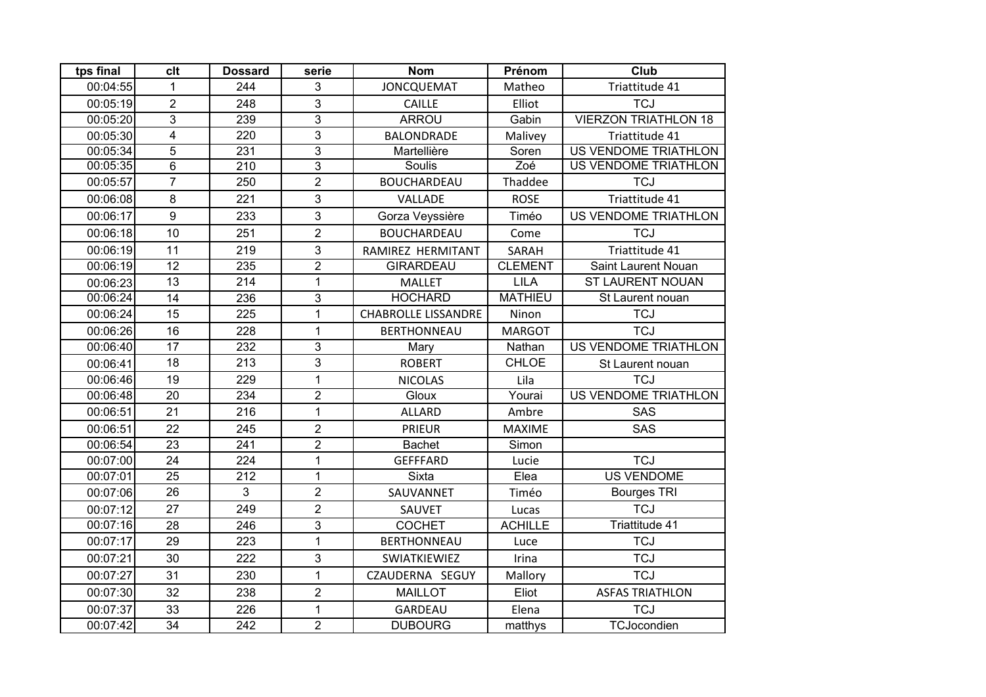| tps final | clt                     | <b>Dossard</b>   | serie          | <b>Nom</b>                 | Prénom         | <b>Club</b>                 |
|-----------|-------------------------|------------------|----------------|----------------------------|----------------|-----------------------------|
| 00:04:55  | 1                       | 244              | 3              | <b>JONCQUEMAT</b>          | Matheo         | Triattitude 41              |
| 00:05:19  | $\overline{2}$          | 248              | 3              | <b>CAILLE</b>              | Elliot         | <b>TCJ</b>                  |
| 00:05:20  | $\overline{3}$          | 239              | 3              | <b>ARROU</b>               | Gabin          | <b>VIERZON TRIATHLON 18</b> |
| 00:05:30  | $\overline{\mathbf{4}}$ | 220              | 3              | <b>BALONDRADE</b>          | Malivey        | Triattitude 41              |
| 00:05:34  | $\overline{5}$          | 231              | $\overline{3}$ | Martellière                | Soren          | <b>US VENDOME TRIATHLON</b> |
| 00:05:35  | $\overline{6}$          | $\overline{210}$ | $\overline{3}$ | Soulis                     | Zoé            | US VENDOME TRIATHLON        |
| 00:05:57  | $\overline{7}$          | 250              | $\overline{2}$ | <b>BOUCHARDEAU</b>         | Thaddee        | <b>TCJ</b>                  |
| 00:06:08  | 8                       | 221              | 3              | VALLADE                    | <b>ROSE</b>    | Triattitude 41              |
| 00:06:17  | 9                       | 233              | 3              | Gorza Veyssière            | Timéo          | US VENDOME TRIATHLON        |
| 00:06:18  | 10                      | 251              | $\overline{2}$ | <b>BOUCHARDEAU</b>         | Come           | <b>TCJ</b>                  |
| 00:06:19  | 11                      | 219              | 3              | RAMIREZ HERMITANT          | SARAH          | Triattitude 41              |
| 00:06:19  | $\overline{12}$         | 235              | $\overline{2}$ | <b>GIRARDEAU</b>           | <b>CLEMENT</b> | Saint Laurent Nouan         |
| 00:06:23  | 13                      | 214              | $\mathbf{1}$   | <b>MALLET</b>              | <b>LILA</b>    | <b>ST LAURENT NOUAN</b>     |
| 00:06:24  | 14                      | 236              | $\overline{3}$ | <b>HOCHARD</b>             | <b>MATHIEU</b> | St Laurent nouan            |
| 00:06:24  | $\overline{15}$         | 225              | $\mathbf{1}$   | <b>CHABROLLE LISSANDRE</b> | Ninon          | <b>TCJ</b>                  |
| 00:06:26  | 16                      | 228              | $\mathbf{1}$   | <b>BERTHONNEAU</b>         | <b>MARGOT</b>  | <b>TCJ</b>                  |
| 00:06:40  | $\overline{17}$         | 232              | 3              | Mary                       | Nathan         | <b>US VENDOME TRIATHLON</b> |
| 00:06:41  | 18                      | 213              | 3              | <b>ROBERT</b>              | <b>CHLOE</b>   | St Laurent nouan            |
| 00:06:46  | 19                      | 229              | $\mathbf{1}$   | <b>NICOLAS</b>             | Lila           | <b>TCJ</b>                  |
| 00:06:48  | 20                      | 234              | $\overline{2}$ | Gloux                      | Yourai         | <b>US VENDOME TRIATHLON</b> |
| 00:06:51  | 21                      | 216              | $\mathbf{1}$   | <b>ALLARD</b>              | Ambre          | SAS                         |
| 00:06:51  | 22                      | 245              | $\overline{2}$ | <b>PRIEUR</b>              | <b>MAXIME</b>  | SAS                         |
| 00:06:54  | 23                      | 241              | $\overline{2}$ | <b>Bachet</b>              | Simon          |                             |
| 00:07:00  | 24                      | 224              | $\mathbf{1}$   | <b>GEFFFARD</b>            | Lucie          | <b>TCJ</b>                  |
| 00:07:01  | $\overline{25}$         | 212              | $\mathbf{1}$   | Sixta                      | Elea           | <b>US VENDOME</b>           |
| 00:07:06  | 26                      | 3                | $\overline{2}$ | SAUVANNET                  | Timéo          | <b>Bourges TRI</b>          |
| 00:07:12  | 27                      | 249              | $\overline{2}$ | SAUVET                     | Lucas          | <b>TCJ</b>                  |
| 00:07:16  | 28                      | $\overline{246}$ | $\overline{3}$ | <b>COCHET</b>              | <b>ACHILLE</b> | <b>Triattitude 41</b>       |
| 00:07:17  | 29                      | 223              | $\mathbf{1}$   | <b>BERTHONNEAU</b>         | Luce           | <b>TCJ</b>                  |
| 00:07:21  | 30                      | 222              | 3              | SWIATKIEWIEZ               | Irina          | <b>TCJ</b>                  |
| 00:07:27  | 31                      | 230              | $\mathbf{1}$   | CZAUDERNA SEGUY            | Mallory        | <b>TCJ</b>                  |
| 00:07:30  | 32                      | 238              | $\overline{2}$ | <b>MAILLOT</b>             | Eliot          | <b>ASFAS TRIATHLON</b>      |
| 00:07:37  | 33                      | 226              | $\mathbf{1}$   | GARDEAU                    | Elena          | <b>TCJ</b>                  |
| 00:07:42  | $\overline{34}$         | 242              | $\overline{2}$ | <b>DUBOURG</b>             | matthys        | TCJocondien                 |